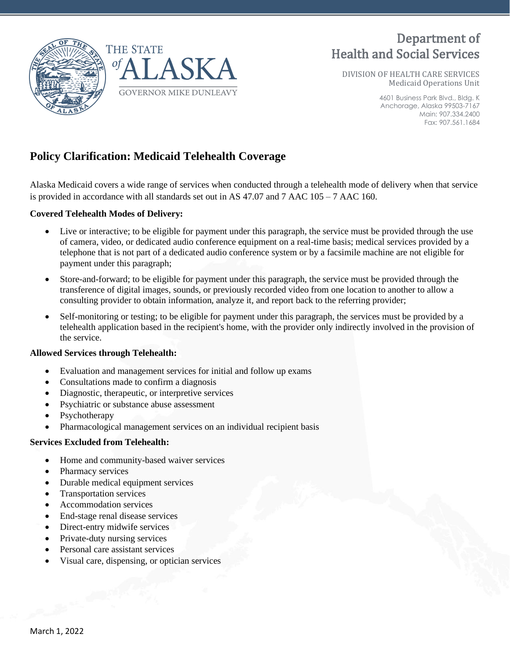

# Department of Health and Social Services

DIVISION OF HEALTH CARE SERVICES Medicaid Operations Unit

> 4601 Business Park Blvd., Bldg. K Anchorage, Alaska 99503-7167 Main: 907.334.2400 Fax: 907.561.1684

# **Policy Clarification: Medicaid Telehealth Coverage**

Alaska Medicaid covers a wide range of services when conducted through a telehealth mode of delivery when that service is provided in accordance with all standards set out in AS 47.07 and 7 AAC  $105 - 7$  AAC 160.

#### **Covered Telehealth Modes of Delivery:**

- Live or interactive; to be eligible for payment under this paragraph, the service must be provided through the use of camera, video, or dedicated audio conference equipment on a real-time basis; medical services provided by a telephone that is not part of a dedicated audio conference system or by a facsimile machine are not eligible for payment under this paragraph;
- Store-and-forward; to be eligible for payment under this paragraph, the service must be provided through the transference of digital images, sounds, or previously recorded video from one location to another to allow a consulting provider to obtain information, analyze it, and report back to the referring provider;
- Self-monitoring or testing; to be eligible for payment under this paragraph, the services must be provided by a telehealth application based in the recipient's home, with the provider only indirectly involved in the provision of the service.

#### **Allowed Services through Telehealth:**

- Evaluation and management services for initial and follow up exams
- Consultations made to confirm a diagnosis
- Diagnostic, therapeutic, or interpretive services
- Psychiatric or substance abuse assessment
- **Psychotherapy**
- Pharmacological management services on an individual recipient basis

#### **Services Excluded from Telehealth:**

- Home and community-based waiver services
- Pharmacy services
- Durable medical equipment services
- Transportation services
- Accommodation services
- End-stage renal disease services
- Direct-entry midwife services
- Private-duty nursing services
- Personal care assistant services
- Visual care, dispensing, or optician services